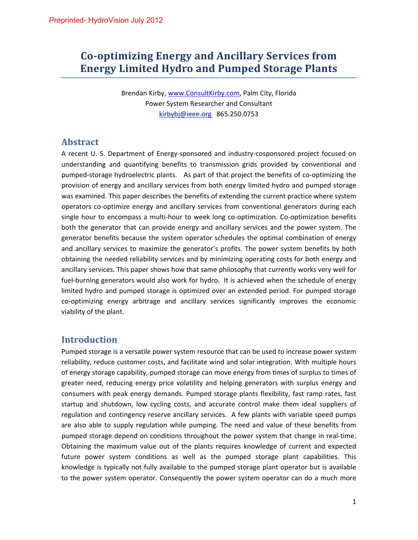# **Co‐optimizing Energy and Ancillary Services from Energy Limited Hydro and Pumped Storage Plants**

Brendan Kirby, www.ConsultKirby.com, Palm City, Florida Power System Researcher and Consultant kirbybj@ieee.org 865.250.0753

### **Abstract**

A recent U. S. Department of Energy‐sponsored and industry‐cosponsored project focused on understanding and quantifying benefits to transmission grids provided by conventional and pumped-storage hydroelectric plants. As part of that project the benefits of co-optimizing the provision of energy and ancillary services from both energy limited hydro and pumped storage was examined. This paper describes the benefits of extending the current practice where system operators co‐optimize energy and ancillary services from conventional generators during each single hour to encompass a multi-hour to week long co-optimization. Co-optimization benefits both the generator that can provide energy and ancillary services and the power system. The generator benefits because the system operator schedules the optimal combination of energy and ancillary services to maximize the generator's profits. The power system benefits by both obtaining the needed reliability services and by minimizing operating costs for both energy and ancillary services. This paper shows how that same philosophy that currently works very well for fuel-burning generators would also work for hydro. It is achieved when the schedule of energy limited hydro and pumped storage is optimized over an extended period. For pumped storage co-optimizing energy arbitrage and ancillary services significantly improves the economic viability of the plant.

### **Introduction**

Pumped storage is a versatile power system resource that can be used to increase power system reliability, reduce customer costs, and facilitate wind and solar integration. With multiple hours of energy storage capability, pumped storage can move energy from times of surplus to times of greater need, reducing energy price volatility and helping generators with surplus energy and consumers with peak energy demands. Pumped storage plants flexibility, fast ramp rates, fast startup and shutdown, low cycling costs, and accurate control make them ideal suppliers of regulation and contingency reserve ancillary services. A few plants with variable speed pumps are also able to supply regulation while pumping. The need and value of these benefits from pumped storage depend on conditions throughout the power system that change in real-time. Obtaining the maximum value out of the plants requires knowledge of current and expected future power system conditions as well as the pumped storage plant capabilities. This knowledge is typically not fully available to the pumped storage plant operator but is available to the power system operator. Consequently the power system operator can do a much more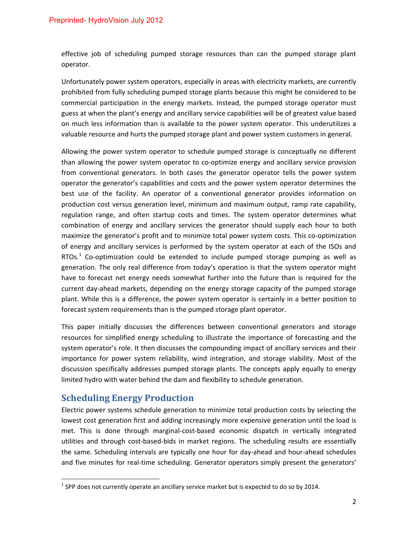effective job of scheduling pumped storage resources than can the pumped storage plant operator.

Unfortunately power system operators, especially in areas with electricity markets, are currently prohibited from fully scheduling pumped storage plants because this might be considered to be commercial participation in the energy markets. Instead, the pumped storage operator must guess at when the plant's energy and ancillary service capabilities will be of greatest value based on much less information than is available to the power system operator. This underutilizes a valuable resource and hurts the pumped storage plant and power system customers in general.

Allowing the power system operator to schedule pumped storage is conceptually no different than allowing the power system operator to co-optimize energy and ancillary service provision from conventional generators. In both cases the generator operator tells the power system operator the generator's capabilities and costs and the power system operator determines the best use of the facility. An operator of a conventional generator provides information on production cost versus generation level, minimum and maximum output, ramp rate capability, regulation range, and often startup costs and times. The system operator determines what combination of energy and ancillary services the generator should supply each hour to both maximize the generator's profit and to minimize total power system costs. This co-optimization of energy and ancillary services is performed by the system operator at each of the ISOs and RTOs.<sup>1</sup> Co-optimization could be extended to include pumped storage pumping as well as generation. The only real difference from today's operation is that the system operator might have to forecast net energy needs somewhat further into the future than is required for the current day‐ahead markets, depending on the energy storage capacity of the pumped storage plant. While this is a difference, the power system operator is certainly in a better position to forecast system requirements than is the pumped storage plant operator.

This paper initially discusses the differences between conventional generators and storage resources for simplified energy scheduling to illustrate the importance of forecasting and the system operator's role. It then discusses the compounding impact of ancillary services and their importance for power system reliability, wind integration, and storage viability. Most of the discussion specifically addresses pumped storage plants. The concepts apply equally to energy limited hydro with water behind the dam and flexibility to schedule generation.

### **Scheduling Energy Production**

Electric power systems schedule generation to minimize total production costs by selecting the lowest cost generation first and adding increasingly more expensive generation until the load is met. This is done through marginal-cost-based economic dispatch in vertically integrated utilities and through cost‐based‐bids in market regions. The scheduling results are essentially the same. Scheduling intervals are typically one hour for day‐ahead and hour‐ahead schedules and five minutes for real-time scheduling. Generator operators simply present the generators'

 $1$  SPP does not currently operate an ancillary service market but is expected to do so by 2014.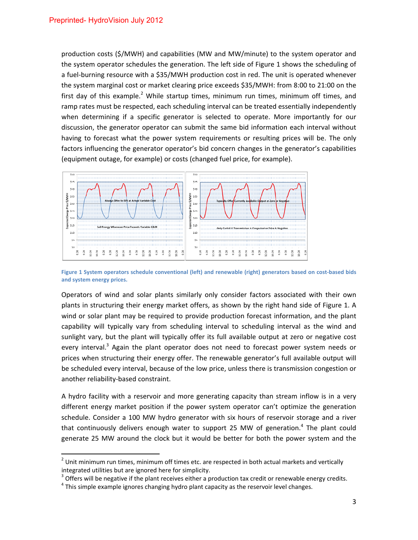production costs (\$/MWH) and capabilities (MW and MW/minute) to the system operator and the system operator schedules the generation. The left side of Figure 1 shows the scheduling of a fuel-burning resource with a \$35/MWH production cost in red. The unit is operated whenever the system marginal cost or market clearing price exceeds \$35/MWH: from 8:00 to 21:00 on the first day of this example.<sup>2</sup> While startup times, minimum run times, minimum off times, and ramp rates must be respected, each scheduling interval can be treated essentially independently when determining if a specific generator is selected to operate. More importantly for our discussion, the generator operator can submit the same bid information each interval without having to forecast what the power system requirements or resulting prices will be. The only factors influencing the generator operator's bid concern changes in the generator's capabilities (equipment outage, for example) or costs (changed fuel price, for example).



Figure 1 System operators schedule conventional (left) and renewable (right) generators based on cost-based bids **and system energy prices.**

Operators of wind and solar plants similarly only consider factors associated with their own plants in structuring their energy market offers, as shown by the right hand side of Figure 1. A wind or solar plant may be required to provide production forecast information, and the plant capability will typically vary from scheduling interval to scheduling interval as the wind and sunlight vary, but the plant will typically offer its full available output at zero or negative cost every interval.<sup>3</sup> Again the plant operator does not need to forecast power system needs or prices when structuring their energy offer. The renewable generator's full available output will be scheduled every interval, because of the low price, unless there is transmission congestion or another reliability‐based constraint.

A hydro facility with a reservoir and more generating capacity than stream inflow is in a very different energy market position if the power system operator can't optimize the generation schedule. Consider a 100 MW hydro generator with six hours of reservoir storage and a river that continuously delivers enough water to support 25 MW of generation.<sup>4</sup> The plant could generate 25 MW around the clock but it would be better for both the power system and the

 $2$  Unit minimum run times, minimum off times etc. are respected in both actual markets and vertically integrated utilities but are ignored here for simplicity.<br><sup>3</sup> Offers will be negative if the plant receives either a production tax credit or renewable energy credits.<br><sup>4</sup> This simple example ignores changing hydro plant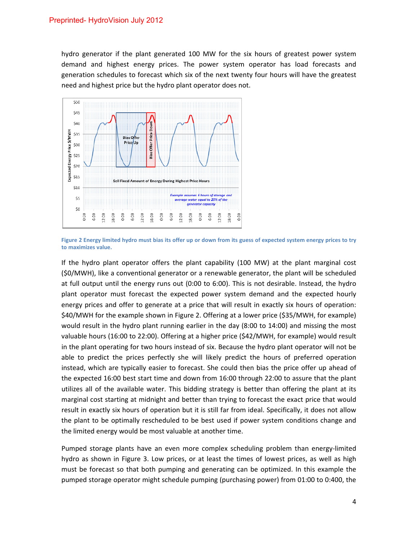hydro generator if the plant generated 100 MW for the six hours of greatest power system demand and highest energy prices. The power system operator has load forecasts and generation schedules to forecast which six of the next twenty four hours will have the greatest need and highest price but the hydro plant operator does not.



Figure 2 Energy limited hydro must bias its offer up or down from its guess of expected system energy prices to try **to maximizes value.**

If the hydro plant operator offers the plant capability (100 MW) at the plant marginal cost (\$0/MWH), like a conventional generator or a renewable generator, the plant will be scheduled at full output until the energy runs out (0:00 to 6:00). This is not desirable. Instead, the hydro plant operator must forecast the expected power system demand and the expected hourly energy prices and offer to generate at a price that will result in exactly six hours of operation: \$40/MWH for the example shown in Figure 2. Offering at a lower price (\$35/MWH, for example) would result in the hydro plant running earlier in the day (8:00 to 14:00) and missing the most valuable hours (16:00 to 22:00). Offering at a higher price (\$42/MWH, for example) would result in the plant operating for two hours instead of six. Because the hydro plant operator will not be able to predict the prices perfectly she will likely predict the hours of preferred operation instead, which are typically easier to forecast. She could then bias the price offer up ahead of the expected 16:00 best start time and down from 16:00 through 22:00 to assure that the plant utilizes all of the available water. This bidding strategy is better than offering the plant at its marginal cost starting at midnight and better than trying to forecast the exact price that would result in exactly six hours of operation but it is still far from ideal. Specifically, it does not allow the plant to be optimally rescheduled to be best used if power system conditions change and the limited energy would be most valuable at another time.

Pumped storage plants have an even more complex scheduling problem than energy‐limited hydro as shown in Figure 3. Low prices, or at least the times of lowest prices, as well as high must be forecast so that both pumping and generating can be optimized. In this example the pumped storage operator might schedule pumping (purchasing power) from 01:00 to 0:400, the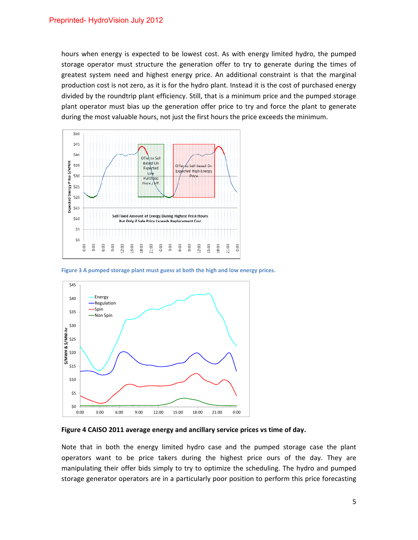hours when energy is expected to be lowest cost. As with energy limited hydro, the pumped storage operator must structure the generation offer to try to generate during the times of greatest system need and highest energy price. An additional constraint is that the marginal production cost is not zero, as it is for the hydro plant. Instead it is the cost of purchased energy divided by the roundtrip plant efficiency. Still, that is a minimum price and the pumped storage plant operator must bias up the generation offer price to try and force the plant to generate during the most valuable hours, not just the first hours the price exceeds the minimum.



**Figure 3 A pumped storage plant must guess at both the high and low energy prices.**



**Figure 4 CAISO 2011 average energy and ancillary service prices vs time of day.**

Note that in both the energy limited hydro case and the pumped storage case the plant operators want to be price takers during the highest price ours of the day. They are manipulating their offer bids simply to try to optimize the scheduling. The hydro and pumped storage generator operators are in a particularly poor position to perform this price forecasting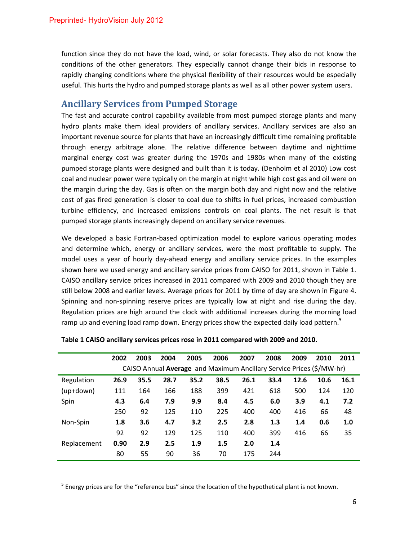function since they do not have the load, wind, or solar forecasts. They also do not know the conditions of the other generators. They especially cannot change their bids in response to rapidly changing conditions where the physical flexibility of their resources would be especially useful. This hurts the hydro and pumped storage plants as well as all other power system users.

## **Ancillary Services from Pumped Storage**

The fast and accurate control capability available from most pumped storage plants and many hydro plants make them ideal providers of ancillary services. Ancillary services are also an important revenue source for plants that have an increasingly difficult time remaining profitable through energy arbitrage alone. The relative difference between daytime and nighttime marginal energy cost was greater during the 1970s and 1980s when many of the existing pumped storage plants were designed and built than it is today. (Denholm et al 2010) Low cost coal and nuclear power were typically on the margin at night while high cost gas and oil were on the margin during the day. Gas is often on the margin both day and night now and the relative cost of gas fired generation is closer to coal due to shifts in fuel prices, increased combustion turbine efficiency, and increased emissions controls on coal plants. The net result is that pumped storage plants increasingly depend on ancillary service revenues.

We developed a basic Fortran-based optimization model to explore various operating modes and determine which, energy or ancillary services, were the most profitable to supply. The model uses a year of hourly day-ahead energy and ancillary service prices. In the examples shown here we used energy and ancillary service prices from CAISO for 2011, shown in Table 1. CAISO ancillary service prices increased in 2011 compared with 2009 and 2010 though they are still below 2008 and earlier levels. Average prices for 2011 by time of day are shown in Figure 4. Spinning and non-spinning reserve prices are typically low at night and rise during the day. Regulation prices are high around the clock with additional increases during the morning load ramp up and evening load ramp down. Energy prices show the expected daily load pattern.<sup>5</sup>

|             | 2002                                                                 | 2003 | 2004 | 2005 | 2006 | 2007 | 2008 | 2009 | 2010 | 2011 |  |  |  |  |  |
|-------------|----------------------------------------------------------------------|------|------|------|------|------|------|------|------|------|--|--|--|--|--|
|             | CAISO Annual Average and Maximum Ancillary Service Prices (\$/MW-hr) |      |      |      |      |      |      |      |      |      |  |  |  |  |  |
| Regulation  | 26.9                                                                 | 35.5 | 28.7 | 35.2 | 38.5 | 26.1 | 33.4 | 12.6 | 10.6 | 16.1 |  |  |  |  |  |
| $(up+down)$ | 111                                                                  | 164  | 166  | 188  | 399  | 421  | 618  | 500  | 124  | 120  |  |  |  |  |  |
| Spin        | 4.3                                                                  | 6.4  | 7.9  | 9.9  | 8.4  | 4.5  | 6.0  | 3.9  | 4.1  | 7.2  |  |  |  |  |  |
|             | 250                                                                  | 92   | 125  | 110  | 225  | 400  | 400  | 416  | 66   | 48   |  |  |  |  |  |
| Non-Spin    | 1.8                                                                  | 3.6  | 4.7  | 3.2  | 2.5  | 2.8  | 1.3  | 1.4  | 0.6  | 1.0  |  |  |  |  |  |
|             | 92                                                                   | 92   | 129  | 125  | 110  | 400  | 399  | 416  | 66   | 35   |  |  |  |  |  |
| Replacement | 0.90                                                                 | 2.9  | 2.5  | 1.9  | 1.5  | 2.0  | 1.4  |      |      |      |  |  |  |  |  |
|             | 80                                                                   | 55   | 90   | 36   | 70   | 175  | 244  |      |      |      |  |  |  |  |  |

#### **Table 1 CAISO ancillary services prices rose in 2011 compared with 2009 and 2010.**

 $<sup>5</sup>$  Energy prices are for the "reference bus" since the location of the hypothetical plant is not known.</sup>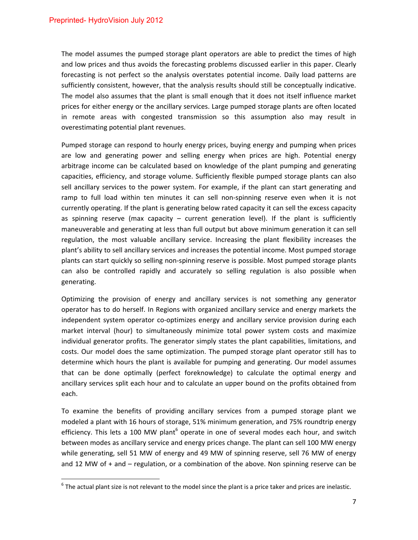The model assumes the pumped storage plant operators are able to predict the times of high and low prices and thus avoids the forecasting problems discussed earlier in this paper. Clearly forecasting is not perfect so the analysis overstates potential income. Daily load patterns are sufficiently consistent, however, that the analysis results should still be conceptually indicative. The model also assumes that the plant is small enough that it does not itself influence market prices for either energy or the ancillary services. Large pumped storage plants are often located in remote areas with congested transmission so this assumption also may result in overestimating potential plant revenues.

Pumped storage can respond to hourly energy prices, buying energy and pumping when prices are low and generating power and selling energy when prices are high. Potential energy arbitrage income can be calculated based on knowledge of the plant pumping and generating capacities, efficiency, and storage volume. Sufficiently flexible pumped storage plants can also sell ancillary services to the power system. For example, if the plant can start generating and ramp to full load within ten minutes it can sell non-spinning reserve even when it is not currently operating. If the plant is generating below rated capacity it can sell the excess capacity as spinning reserve (max capacity  $-$  current generation level). If the plant is sufficiently maneuverable and generating at less than full output but above minimum generation it can sell regulation, the most valuable ancillary service. Increasing the plant flexibility increases the plant's ability to sell ancillary services and increases the potential income. Most pumped storage plants can start quickly so selling non‐spinning reserve is possible. Most pumped storage plants can also be controlled rapidly and accurately so selling regulation is also possible when generating.

Optimizing the provision of energy and ancillary services is not something any generator operator has to do herself. In Regions with organized ancillary service and energy markets the independent system operator co‐optimizes energy and ancillary service provision during each market interval (hour) to simultaneously minimize total power system costs and maximize individual generator profits. The generator simply states the plant capabilities, limitations, and costs. Our model does the same optimization. The pumped storage plant operator still has to determine which hours the plant is available for pumping and generating. Our model assumes that can be done optimally (perfect foreknowledge) to calculate the optimal energy and ancillary services split each hour and to calculate an upper bound on the profits obtained from each.

To examine the benefits of providing ancillary services from a pumped storage plant we modeled a plant with 16 hours of storage, 51% minimum generation, and 75% roundtrip energy efficiency. This lets a 100 MW plant<sup>6</sup> operate in one of several modes each hour, and switch between modes as ancillary service and energy prices change. The plant can sell 100 MW energy while generating, sell 51 MW of energy and 49 MW of spinning reserve, sell 76 MW of energy and 12 MW of + and – regulation, or a combination of the above. Non spinning reserve can be

 $6$  The actual plant size is not relevant to the model since the plant is a price taker and prices are inelastic.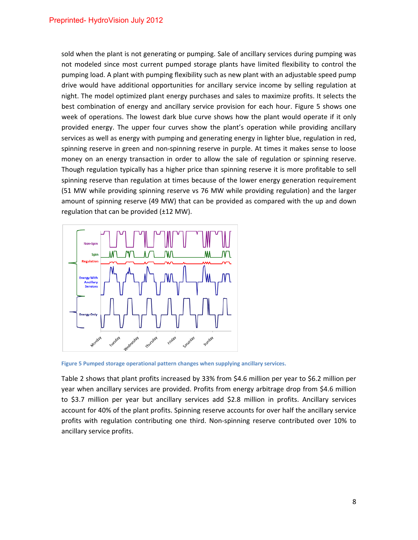sold when the plant is not generating or pumping. Sale of ancillary services during pumping was not modeled since most current pumped storage plants have limited flexibility to control the pumping load. A plant with pumping flexibility such as new plant with an adjustable speed pump drive would have additional opportunities for ancillary service income by selling regulation at night. The model optimized plant energy purchases and sales to maximize profits. It selects the best combination of energy and ancillary service provision for each hour. Figure 5 shows one week of operations. The lowest dark blue curve shows how the plant would operate if it only provided energy. The upper four curves show the plant's operation while providing ancillary services as well as energy with pumping and generating energy in lighter blue, regulation in red, spinning reserve in green and non-spinning reserve in purple. At times it makes sense to loose money on an energy transaction in order to allow the sale of regulation or spinning reserve. Though regulation typically has a higher price than spinning reserve it is more profitable to sell spinning reserve than regulation at times because of the lower energy generation requirement (51 MW while providing spinning reserve vs 76 MW while providing regulation) and the larger amount of spinning reserve (49 MW) that can be provided as compared with the up and down regulation that can be provided  $(\pm 12 \text{ MW})$ .



**Figure 5 Pumped storage operational pattern changes when supplying ancillary services.**

Table 2 shows that plant profits increased by 33% from \$4.6 million per year to \$6.2 million per year when ancillary services are provided. Profits from energy arbitrage drop from \$4.6 million to \$3.7 million per year but ancillary services add \$2.8 million in profits. Ancillary services account for 40% of the plant profits. Spinning reserve accounts for over half the ancillary service profits with regulation contributing one third. Non‐spinning reserve contributed over 10% to ancillary service profits.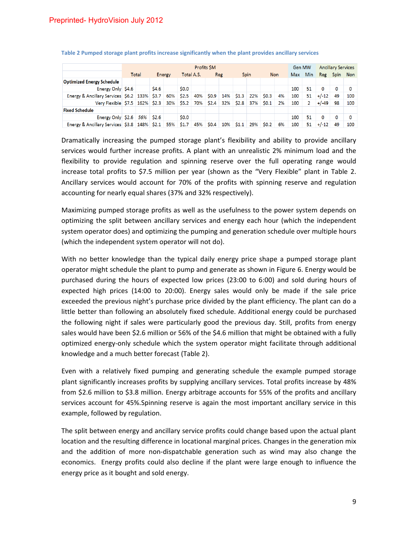|                                                  | Profits SM |  |             |     |            |     |           |     |                 |           |            |    |     | Gen MW     |         | <b>Ancillary Services</b> |          |  |
|--------------------------------------------------|------------|--|-------------|-----|------------|-----|-----------|-----|-----------------|-----------|------------|----|-----|------------|---------|---------------------------|----------|--|
|                                                  | Total      |  | Energy      |     | Total A.S. |     | Reg       |     | Spin            |           | <b>Non</b> |    | Max | <b>Min</b> | Reg     |                           | Spin Non |  |
| <b>Optimized Energy Schedule</b>                 |            |  |             |     |            |     |           |     |                 |           |            |    |     |            |         |                           |          |  |
| Energy Only \$4.6                                |            |  | <b>S4.6</b> |     | \$0.0      |     |           |     |                 |           |            |    | 100 | 51         | 0       | 0                         |          |  |
| Energy & Ancillary Services \$6.2   133%   \$3.7 |            |  |             | 60% | \$2.5      | 40% | \$0.9     | 14% | \$1.3           | 22%       | SO.3       | 4% | 100 | 51         | $+/-12$ | 49                        | 100      |  |
| Very Flexible \$7.5 162% \$2.3                   |            |  |             |     | 30% \$5.2  |     | 70% \$2.4 |     | 32% \$2.8       | 37% \$0.1 |            | 2% | 100 | 2          | $+/-49$ | 98                        | 100      |  |
| <b>Fixed Schedule</b>                            |            |  |             |     |            |     |           |     |                 |           |            |    |     |            |         |                           |          |  |
| Energy Only $$2.6$ 56% \$2.6                     |            |  |             |     | \$0.0      |     |           |     |                 |           |            |    | 100 | 51         | 0       | 0                         |          |  |
| Energy & Ancillary Services \$3.8 148% \$2.1     |            |  |             |     | 55% \$1.7  | 45% | \$0.4\$   | 10% | $\mathsf{S}1.1$ | 29%       | \$0.2      | 6% | 100 | 51         | $+/-12$ | 49                        | 100      |  |

#### **Table 2 Pumped storage plant profits increase significantly when the plant provides ancillary services**

Dramatically increasing the pumped storage plant's flexibility and ability to provide ancillary services would further increase profits. A plant with an unrealistic 2% minimum load and the flexibility to provide regulation and spinning reserve over the full operating range would increase total profits to \$7.5 million per year (shown as the "Very Flexible" plant in Table 2. Ancillary services would account for 70% of the profits with spinning reserve and regulation accounting for nearly equal shares (37% and 32% respectively).

Maximizing pumped storage profits as well as the usefulness to the power system depends on optimizing the split between ancillary services and energy each hour (which the independent system operator does) and optimizing the pumping and generation schedule over multiple hours (which the independent system operator will not do).

With no better knowledge than the typical daily energy price shape a pumped storage plant operator might schedule the plant to pump and generate as shown in Figure 6. Energy would be purchased during the hours of expected low prices (23:00 to 6:00) and sold during hours of expected high prices (14:00 to 20:00). Energy sales would only be made if the sale price exceeded the previous night's purchase price divided by the plant efficiency. The plant can do a little better than following an absolutely fixed schedule. Additional energy could be purchased the following night if sales were particularly good the previous day. Still, profits from energy sales would have been \$2.6 million or 56% of the \$4.6 million that might be obtained with a fully optimized energy‐only schedule which the system operator might facilitate through additional knowledge and a much better forecast (Table 2).

Even with a relatively fixed pumping and generating schedule the example pumped storage plant significantly increases profits by supplying ancillary services. Total profits increase by 48% from \$2.6 million to \$3.8 million. Energy arbitrage accounts for 55% of the profits and ancillary services account for 45%.Spinning reserve is again the most important ancillary service in this example, followed by regulation.

The split between energy and ancillary service profits could change based upon the actual plant location and the resulting difference in locational marginal prices. Changes in the generation mix and the addition of more non-dispatchable generation such as wind may also change the economics. Energy profits could also decline if the plant were large enough to influence the energy price as it bought and sold energy.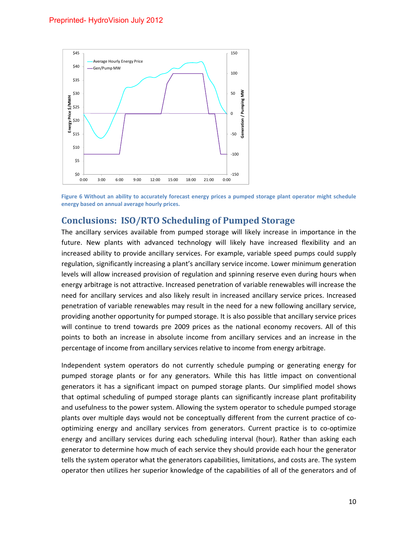

Figure 6 Without an ability to accurately forecast energy prices a pumped storage plant operator might schedule **energy based on annual average hourly prices.**

# **Conclusions: ISO/RTO Scheduling of Pumped Storage**

The ancillary services available from pumped storage will likely increase in importance in the future. New plants with advanced technology will likely have increased flexibility and an increased ability to provide ancillary services. For example, variable speed pumps could supply regulation, significantly increasing a plant's ancillary service income. Lower minimum generation levels will allow increased provision of regulation and spinning reserve even during hours when energy arbitrage is not attractive. Increased penetration of variable renewables will increase the need for ancillary services and also likely result in increased ancillary service prices. Increased penetration of variable renewables may result in the need for a new following ancillary service, providing another opportunity for pumped storage. It is also possible that ancillary service prices will continue to trend towards pre 2009 prices as the national economy recovers. All of this points to both an increase in absolute income from ancillary services and an increase in the percentage of income from ancillary services relative to income from energy arbitrage.

Independent system operators do not currently schedule pumping or generating energy for pumped storage plants or for any generators. While this has little impact on conventional generators it has a significant impact on pumped storage plants. Our simplified model shows that optimal scheduling of pumped storage plants can significantly increase plant profitability and usefulness to the power system. Allowing the system operator to schedule pumped storage plants over multiple days would not be conceptually different from the current practice of co‐ optimizing energy and ancillary services from generators. Current practice is to co‐optimize energy and ancillary services during each scheduling interval (hour). Rather than asking each generator to determine how much of each service they should provide each hour the generator tells the system operator what the generators capabilities, limitations, and costs are. The system operator then utilizes her superior knowledge of the capabilities of all of the generators and of